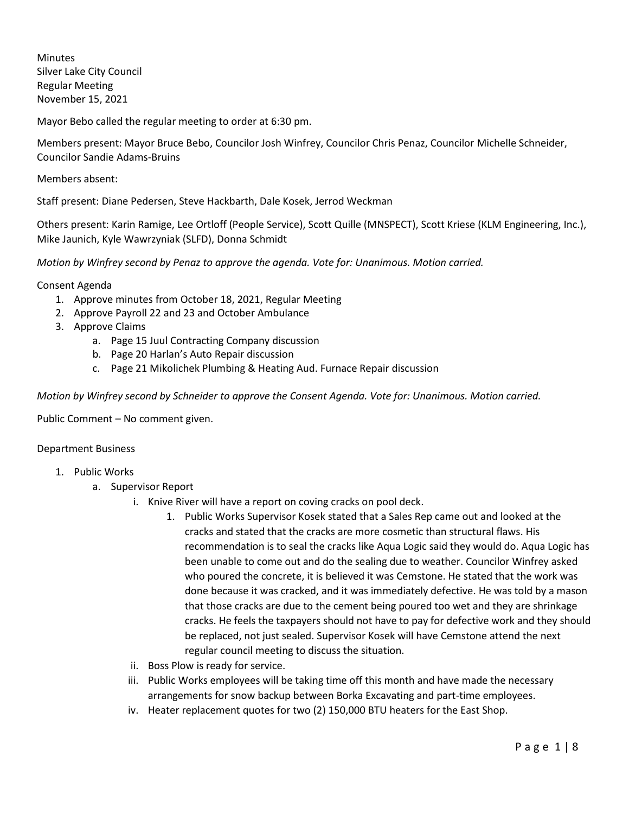Minutes Silver Lake City Council Regular Meeting November 15, 2021

Mayor Bebo called the regular meeting to order at 6:30 pm.

Members present: Mayor Bruce Bebo, Councilor Josh Winfrey, Councilor Chris Penaz, Councilor Michelle Schneider, Councilor Sandie Adams-Bruins

Members absent:

Staff present: Diane Pedersen, Steve Hackbarth, Dale Kosek, Jerrod Weckman

Others present: Karin Ramige, Lee Ortloff (People Service), Scott Quille (MNSPECT), Scott Kriese (KLM Engineering, Inc.), Mike Jaunich, Kyle Wawrzyniak (SLFD), Donna Schmidt

*Motion by Winfrey second by Penaz to approve the agenda. Vote for: Unanimous. Motion carried.*

Consent Agenda

- 1. Approve minutes from October 18, 2021, Regular Meeting
- 2. Approve Payroll 22 and 23 and October Ambulance
- 3. Approve Claims
	- a. Page 15 Juul Contracting Company discussion
	- b. Page 20 Harlan's Auto Repair discussion
	- c. Page 21 Mikolichek Plumbing & Heating Aud. Furnace Repair discussion

*Motion by Winfrey second by Schneider to approve the Consent Agenda. Vote for: Unanimous. Motion carried.*

Public Comment – No comment given.

## Department Business

- 1. Public Works
	- a. Supervisor Report
		- i. Knive River will have a report on coving cracks on pool deck.
			- 1. Public Works Supervisor Kosek stated that a Sales Rep came out and looked at the cracks and stated that the cracks are more cosmetic than structural flaws. His recommendation is to seal the cracks like Aqua Logic said they would do. Aqua Logic has been unable to come out and do the sealing due to weather. Councilor Winfrey asked who poured the concrete, it is believed it was Cemstone. He stated that the work was done because it was cracked, and it was immediately defective. He was told by a mason that those cracks are due to the cement being poured too wet and they are shrinkage cracks. He feels the taxpayers should not have to pay for defective work and they should be replaced, not just sealed. Supervisor Kosek will have Cemstone attend the next regular council meeting to discuss the situation.
		- ii. Boss Plow is ready for service.
		- iii. Public Works employees will be taking time off this month and have made the necessary arrangements for snow backup between Borka Excavating and part-time employees.
		- iv. Heater replacement quotes for two (2) 150,000 BTU heaters for the East Shop.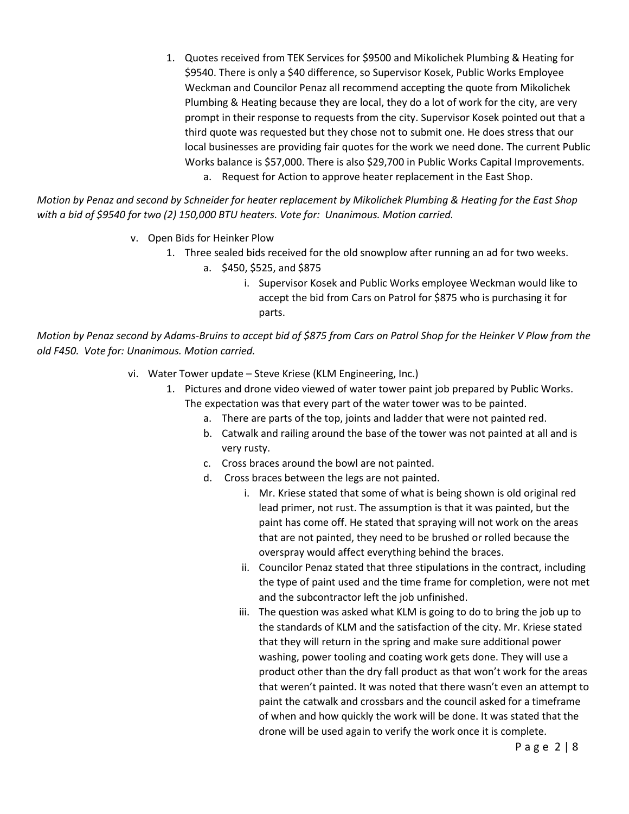1. Quotes received from TEK Services for \$9500 and Mikolichek Plumbing & Heating for \$9540. There is only a \$40 difference, so Supervisor Kosek, Public Works Employee Weckman and Councilor Penaz all recommend accepting the quote from Mikolichek Plumbing & Heating because they are local, they do a lot of work for the city, are very prompt in their response to requests from the city. Supervisor Kosek pointed out that a third quote was requested but they chose not to submit one. He does stress that our local businesses are providing fair quotes for the work we need done. The current Public Works balance is \$57,000. There is also \$29,700 in Public Works Capital Improvements. a. Request for Action to approve heater replacement in the East Shop.

*Motion by Penaz and second by Schneider for heater replacement by Mikolichek Plumbing & Heating for the East Shop with a bid of \$9540 for two (2) 150,000 BTU heaters. Vote for: Unanimous. Motion carried.* 

- v. Open Bids for Heinker Plow
	- 1. Three sealed bids received for the old snowplow after running an ad for two weeks.
		- a. \$450, \$525, and \$875
			- i. Supervisor Kosek and Public Works employee Weckman would like to accept the bid from Cars on Patrol for \$875 who is purchasing it for parts.

*Motion by Penaz second by Adams-Bruins to accept bid of \$875 from Cars on Patrol Shop for the Heinker V Plow from the old F450. Vote for: Unanimous. Motion carried.*

- vi. Water Tower update Steve Kriese (KLM Engineering, Inc.)
	- 1. Pictures and drone video viewed of water tower paint job prepared by Public Works. The expectation was that every part of the water tower was to be painted.
		- a. There are parts of the top, joints and ladder that were not painted red.
		- b. Catwalk and railing around the base of the tower was not painted at all and is very rusty.
		- c. Cross braces around the bowl are not painted.
		- d. Cross braces between the legs are not painted.
			- i. Mr. Kriese stated that some of what is being shown is old original red lead primer, not rust. The assumption is that it was painted, but the paint has come off. He stated that spraying will not work on the areas that are not painted, they need to be brushed or rolled because the overspray would affect everything behind the braces.
			- ii. Councilor Penaz stated that three stipulations in the contract, including the type of paint used and the time frame for completion, were not met and the subcontractor left the job unfinished.
			- iii. The question was asked what KLM is going to do to bring the job up to the standards of KLM and the satisfaction of the city. Mr. Kriese stated that they will return in the spring and make sure additional power washing, power tooling and coating work gets done. They will use a product other than the dry fall product as that won't work for the areas that weren't painted. It was noted that there wasn't even an attempt to paint the catwalk and crossbars and the council asked for a timeframe of when and how quickly the work will be done. It was stated that the drone will be used again to verify the work once it is complete.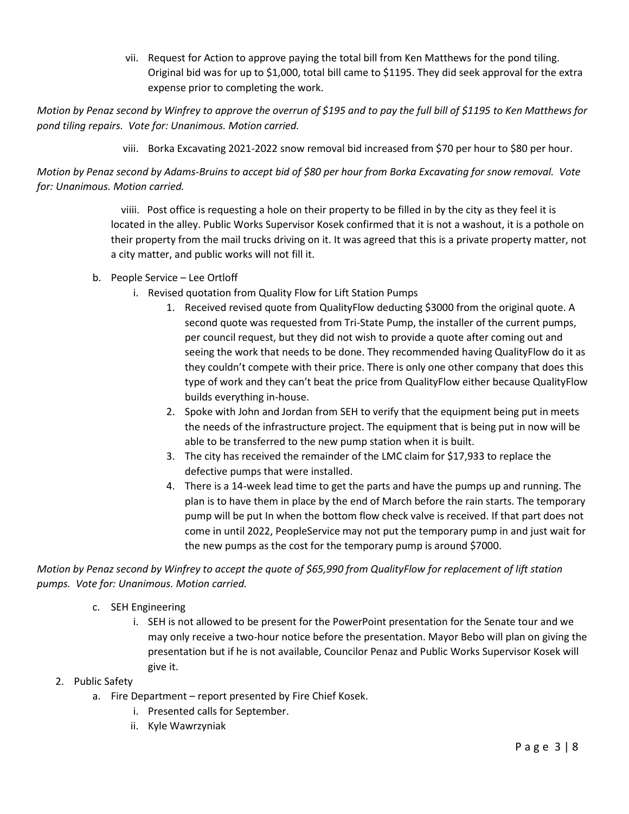vii. Request for Action to approve paying the total bill from Ken Matthews for the pond tiling. Original bid was for up to \$1,000, total bill came to \$1195. They did seek approval for the extra expense prior to completing the work.

*Motion by Penaz second by Winfrey to approve the overrun of \$195 and to pay the full bill of \$1195 to Ken Matthews for pond tiling repairs. Vote for: Unanimous. Motion carried.*

viii. Borka Excavating 2021-2022 snow removal bid increased from \$70 per hour to \$80 per hour.

*Motion by Penaz second by Adams-Bruins to accept bid of \$80 per hour from Borka Excavating for snow removal. Vote for: Unanimous. Motion carried.*

> viiii. Post office is requesting a hole on their property to be filled in by the city as they feel it is located in the alley. Public Works Supervisor Kosek confirmed that it is not a washout, it is a pothole on their property from the mail trucks driving on it. It was agreed that this is a private property matter, not a city matter, and public works will not fill it.

- b. People Service Lee Ortloff
	- i. Revised quotation from Quality Flow for Lift Station Pumps
		- 1. Received revised quote from QualityFlow deducting \$3000 from the original quote. A second quote was requested from Tri-State Pump, the installer of the current pumps, per council request, but they did not wish to provide a quote after coming out and seeing the work that needs to be done. They recommended having QualityFlow do it as they couldn't compete with their price. There is only one other company that does this type of work and they can't beat the price from QualityFlow either because QualityFlow builds everything in-house.
		- 2. Spoke with John and Jordan from SEH to verify that the equipment being put in meets the needs of the infrastructure project. The equipment that is being put in now will be able to be transferred to the new pump station when it is built.
		- 3. The city has received the remainder of the LMC claim for \$17,933 to replace the defective pumps that were installed.
		- 4. There is a 14-week lead time to get the parts and have the pumps up and running. The plan is to have them in place by the end of March before the rain starts. The temporary pump will be put In when the bottom flow check valve is received. If that part does not come in until 2022, PeopleService may not put the temporary pump in and just wait for the new pumps as the cost for the temporary pump is around \$7000.

*Motion by Penaz second by Winfrey to accept the quote of \$65,990 from QualityFlow for replacement of lift station pumps. Vote for: Unanimous. Motion carried.*

- c. SEH Engineering
	- i. SEH is not allowed to be present for the PowerPoint presentation for the Senate tour and we may only receive a two-hour notice before the presentation. Mayor Bebo will plan on giving the presentation but if he is not available, Councilor Penaz and Public Works Supervisor Kosek will give it.
- 2. Public Safety
	- a. Fire Department report presented by Fire Chief Kosek.
		- i. Presented calls for September.
		- ii. Kyle Wawrzyniak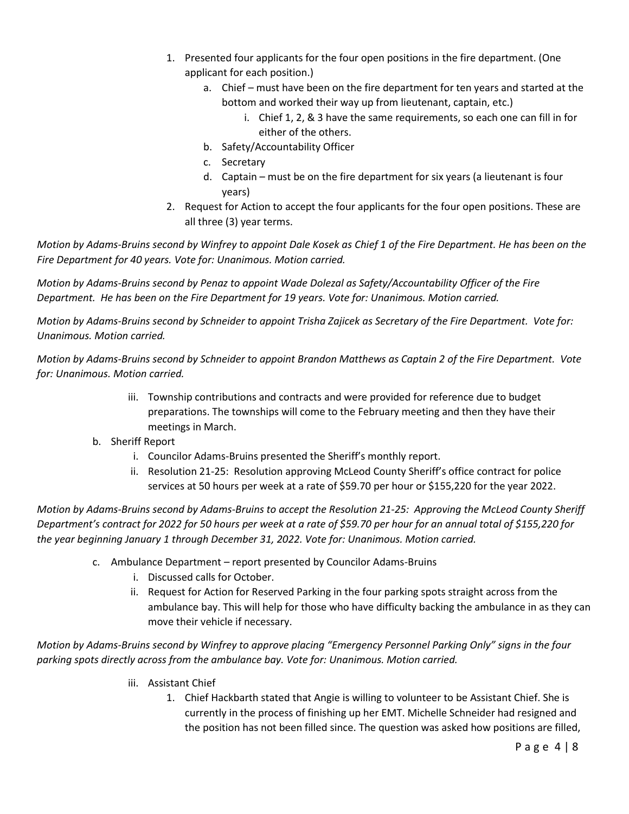- 1. Presented four applicants for the four open positions in the fire department. (One applicant for each position.)
	- a. Chief must have been on the fire department for ten years and started at the bottom and worked their way up from lieutenant, captain, etc.)
		- i. Chief 1, 2, & 3 have the same requirements, so each one can fill in for either of the others.
	- b. Safety/Accountability Officer
	- c. Secretary
	- d. Captain must be on the fire department for six years (a lieutenant is four years)
- 2. Request for Action to accept the four applicants for the four open positions. These are all three (3) year terms.

*Motion by Adams-Bruins second by Winfrey to appoint Dale Kosek as Chief 1 of the Fire Department. He has been on the Fire Department for 40 years. Vote for: Unanimous. Motion carried.*

*Motion by Adams-Bruins second by Penaz to appoint Wade Dolezal as Safety/Accountability Officer of the Fire Department. He has been on the Fire Department for 19 years. Vote for: Unanimous. Motion carried.*

*Motion by Adams-Bruins second by Schneider to appoint Trisha Zajicek as Secretary of the Fire Department. Vote for: Unanimous. Motion carried.*

*Motion by Adams-Bruins second by Schneider to appoint Brandon Matthews as Captain 2 of the Fire Department. Vote for: Unanimous. Motion carried.*

- iii. Township contributions and contracts and were provided for reference due to budget preparations. The townships will come to the February meeting and then they have their meetings in March.
- b. Sheriff Report
	- i. Councilor Adams-Bruins presented the Sheriff's monthly report.
	- ii. Resolution 21-25: Resolution approving McLeod County Sheriff's office contract for police services at 50 hours per week at a rate of \$59.70 per hour or \$155,220 for the year 2022.

*Motion by Adams-Bruins second by Adams-Bruins to accept the Resolution 21-25: Approving the McLeod County Sheriff Department's contract for 2022 for 50 hours per week at a rate of \$59.70 per hour for an annual total of \$155,220 for the year beginning January 1 through December 31, 2022. Vote for: Unanimous. Motion carried.*

- c. Ambulance Department report presented by Councilor Adams-Bruins
	- i. Discussed calls for October.
	- ii. Request for Action for Reserved Parking in the four parking spots straight across from the ambulance bay. This will help for those who have difficulty backing the ambulance in as they can move their vehicle if necessary.

*Motion by Adams-Bruins second by Winfrey to approve placing "Emergency Personnel Parking Only" signs in the four parking spots directly across from the ambulance bay. Vote for: Unanimous. Motion carried.*

- iii. Assistant Chief
	- 1. Chief Hackbarth stated that Angie is willing to volunteer to be Assistant Chief. She is currently in the process of finishing up her EMT. Michelle Schneider had resigned and the position has not been filled since. The question was asked how positions are filled,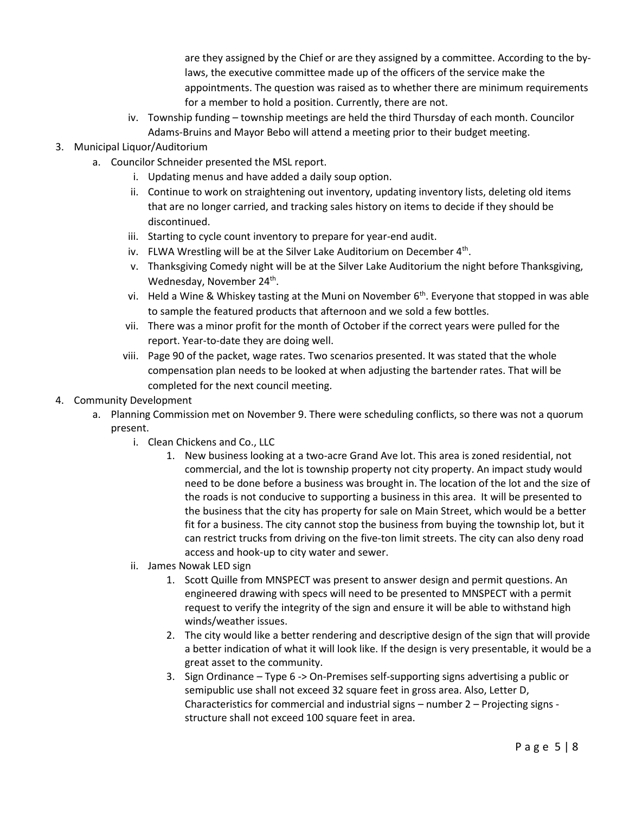are they assigned by the Chief or are they assigned by a committee. According to the bylaws, the executive committee made up of the officers of the service make the appointments. The question was raised as to whether there are minimum requirements for a member to hold a position. Currently, there are not.

- iv. Township funding township meetings are held the third Thursday of each month. Councilor Adams-Bruins and Mayor Bebo will attend a meeting prior to their budget meeting.
- 3. Municipal Liquor/Auditorium
	- a. Councilor Schneider presented the MSL report.
		- i. Updating menus and have added a daily soup option.
		- ii. Continue to work on straightening out inventory, updating inventory lists, deleting old items that are no longer carried, and tracking sales history on items to decide if they should be discontinued.
		- iii. Starting to cycle count inventory to prepare for year-end audit.
		- iv. FLWA Wrestling will be at the Silver Lake Auditorium on December 4<sup>th</sup>.
		- v. Thanksgiving Comedy night will be at the Silver Lake Auditorium the night before Thanksgiving, Wednesday, November 24<sup>th</sup>.
		- vi. Held a Wine & Whiskey tasting at the Muni on November  $6<sup>th</sup>$ . Everyone that stopped in was able to sample the featured products that afternoon and we sold a few bottles.
		- vii. There was a minor profit for the month of October if the correct years were pulled for the report. Year-to-date they are doing well.
		- viii. Page 90 of the packet, wage rates. Two scenarios presented. It was stated that the whole compensation plan needs to be looked at when adjusting the bartender rates. That will be completed for the next council meeting.
- 4. Community Development
	- a. Planning Commission met on November 9. There were scheduling conflicts, so there was not a quorum present.
		- i. Clean Chickens and Co., LLC
			- 1. New business looking at a two-acre Grand Ave lot. This area is zoned residential, not commercial, and the lot is township property not city property. An impact study would need to be done before a business was brought in. The location of the lot and the size of the roads is not conducive to supporting a business in this area. It will be presented to the business that the city has property for sale on Main Street, which would be a better fit for a business. The city cannot stop the business from buying the township lot, but it can restrict trucks from driving on the five-ton limit streets. The city can also deny road access and hook-up to city water and sewer.
		- ii. James Nowak LED sign
			- 1. Scott Quille from MNSPECT was present to answer design and permit questions. An engineered drawing with specs will need to be presented to MNSPECT with a permit request to verify the integrity of the sign and ensure it will be able to withstand high winds/weather issues.
			- 2. The city would like a better rendering and descriptive design of the sign that will provide a better indication of what it will look like. If the design is very presentable, it would be a great asset to the community.
			- 3. Sign Ordinance Type 6 -> On-Premises self-supporting signs advertising a public or semipublic use shall not exceed 32 square feet in gross area. Also, Letter D, Characteristics for commercial and industrial signs – number 2 – Projecting signs structure shall not exceed 100 square feet in area.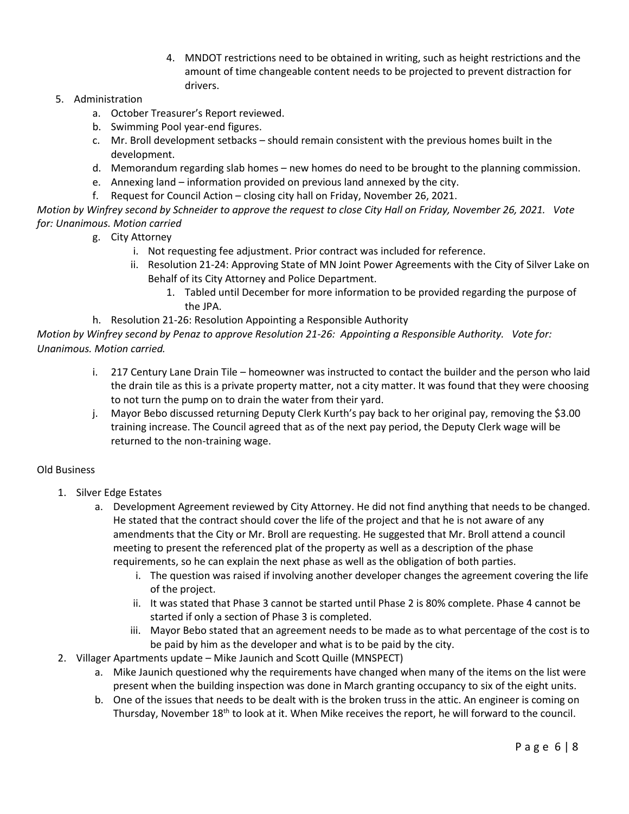4. MNDOT restrictions need to be obtained in writing, such as height restrictions and the amount of time changeable content needs to be projected to prevent distraction for drivers.

## 5. Administration

- a. October Treasurer's Report reviewed.
- b. Swimming Pool year-end figures.
- c. Mr. Broll development setbacks should remain consistent with the previous homes built in the development.
- d. Memorandum regarding slab homes new homes do need to be brought to the planning commission.
- e. Annexing land information provided on previous land annexed by the city.
- f. Request for Council Action closing city hall on Friday, November 26, 2021.

*Motion by Winfrey second by Schneider to approve the request to close City Hall on Friday, November 26, 2021. Vote for: Unanimous. Motion carried*

- g. City Attorney
	- i. Not requesting fee adjustment. Prior contract was included for reference.
	- ii. Resolution 21-24: Approving State of MN Joint Power Agreements with the City of Silver Lake on Behalf of its City Attorney and Police Department.
		- 1. Tabled until December for more information to be provided regarding the purpose of the JPA.
- h. Resolution 21-26: Resolution Appointing a Responsible Authority

*Motion by Winfrey second by Penaz to approve Resolution 21-26: Appointing a Responsible Authority. Vote for: Unanimous. Motion carried.*

- i. 217 Century Lane Drain Tile homeowner was instructed to contact the builder and the person who laid the drain tile as this is a private property matter, not a city matter. It was found that they were choosing to not turn the pump on to drain the water from their yard.
- j. Mayor Bebo discussed returning Deputy Clerk Kurth's pay back to her original pay, removing the \$3.00 training increase. The Council agreed that as of the next pay period, the Deputy Clerk wage will be returned to the non-training wage.

## Old Business

- 1. Silver Edge Estates
	- a. Development Agreement reviewed by City Attorney. He did not find anything that needs to be changed. He stated that the contract should cover the life of the project and that he is not aware of any amendments that the City or Mr. Broll are requesting. He suggested that Mr. Broll attend a council meeting to present the referenced plat of the property as well as a description of the phase requirements, so he can explain the next phase as well as the obligation of both parties.
		- i. The question was raised if involving another developer changes the agreement covering the life of the project.
		- ii. It was stated that Phase 3 cannot be started until Phase 2 is 80% complete. Phase 4 cannot be started if only a section of Phase 3 is completed.
		- iii. Mayor Bebo stated that an agreement needs to be made as to what percentage of the cost is to be paid by him as the developer and what is to be paid by the city.
- 2. Villager Apartments update Mike Jaunich and Scott Quille (MNSPECT)
	- a. Mike Jaunich questioned why the requirements have changed when many of the items on the list were present when the building inspection was done in March granting occupancy to six of the eight units.
	- b. One of the issues that needs to be dealt with is the broken truss in the attic. An engineer is coming on Thursday, November  $18<sup>th</sup>$  to look at it. When Mike receives the report, he will forward to the council.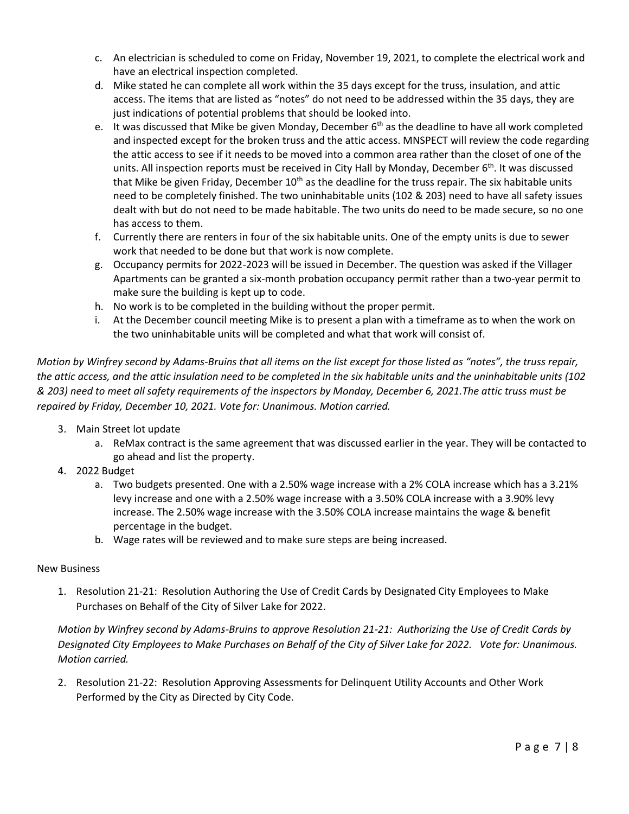- c. An electrician is scheduled to come on Friday, November 19, 2021, to complete the electrical work and have an electrical inspection completed.
- d. Mike stated he can complete all work within the 35 days except for the truss, insulation, and attic access. The items that are listed as "notes" do not need to be addressed within the 35 days, they are just indications of potential problems that should be looked into.
- e. It was discussed that Mike be given Monday, December  $6<sup>th</sup>$  as the deadline to have all work completed and inspected except for the broken truss and the attic access. MNSPECT will review the code regarding the attic access to see if it needs to be moved into a common area rather than the closet of one of the units. All inspection reports must be received in City Hall by Monday, December 6<sup>th</sup>. It was discussed that Mike be given Friday, December  $10<sup>th</sup>$  as the deadline for the truss repair. The six habitable units need to be completely finished. The two uninhabitable units (102 & 203) need to have all safety issues dealt with but do not need to be made habitable. The two units do need to be made secure, so no one has access to them.
- f. Currently there are renters in four of the six habitable units. One of the empty units is due to sewer work that needed to be done but that work is now complete.
- g. Occupancy permits for 2022-2023 will be issued in December. The question was asked if the Villager Apartments can be granted a six-month probation occupancy permit rather than a two-year permit to make sure the building is kept up to code.
- h. No work is to be completed in the building without the proper permit.
- i. At the December council meeting Mike is to present a plan with a timeframe as to when the work on the two uninhabitable units will be completed and what that work will consist of.

*Motion by Winfrey second by Adams-Bruins that all items on the list except for those listed as "notes", the truss repair, the attic access, and the attic insulation need to be completed in the six habitable units and the uninhabitable units (102 & 203) need to meet all safety requirements of the inspectors by Monday, December 6, 2021.The attic truss must be repaired by Friday, December 10, 2021. Vote for: Unanimous. Motion carried.*

- 3. Main Street lot update
	- a. ReMax contract is the same agreement that was discussed earlier in the year. They will be contacted to go ahead and list the property.
- 4. 2022 Budget
	- a. Two budgets presented. One with a 2.50% wage increase with a 2% COLA increase which has a 3.21% levy increase and one with a 2.50% wage increase with a 3.50% COLA increase with a 3.90% levy increase. The 2.50% wage increase with the 3.50% COLA increase maintains the wage & benefit percentage in the budget.
	- b. Wage rates will be reviewed and to make sure steps are being increased.

## New Business

1. Resolution 21-21: Resolution Authoring the Use of Credit Cards by Designated City Employees to Make Purchases on Behalf of the City of Silver Lake for 2022.

*Motion by Winfrey second by Adams-Bruins to approve Resolution 21-21: Authorizing the Use of Credit Cards by Designated City Employees to Make Purchases on Behalf of the City of Silver Lake for 2022. Vote for: Unanimous. Motion carried.*

2. Resolution 21-22: Resolution Approving Assessments for Delinquent Utility Accounts and Other Work Performed by the City as Directed by City Code.